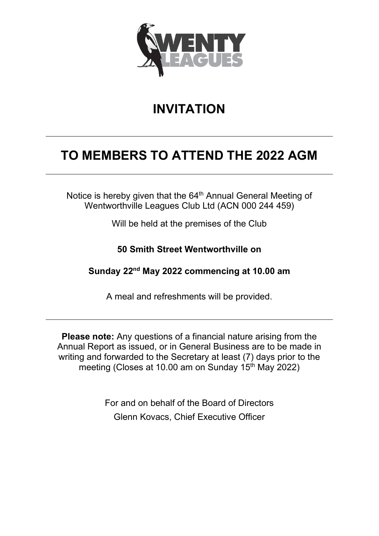

## **INVITATION**

## **TO MEMBERS TO ATTEND THE 2022 AGM**

Notice is hereby given that the 64<sup>th</sup> Annual General Meeting of Wentworthville Leagues Club Ltd (ACN 000 244 459)

Will be held at the premises of the Club

**50 Smith Street Wentworthville on**

**Sunday 22nd May 2022 commencing at 10.00 am**

A meal and refreshments will be provided.

**Please note:** Any questions of a financial nature arising from the Annual Report as issued, or in General Business are to be made in writing and forwarded to the Secretary at least (7) days prior to the meeting (Closes at 10.00 am on Sunday  $15<sup>th</sup>$  May 2022)

> For and on behalf of the Board of Directors Glenn Kovacs, Chief Executive Officer